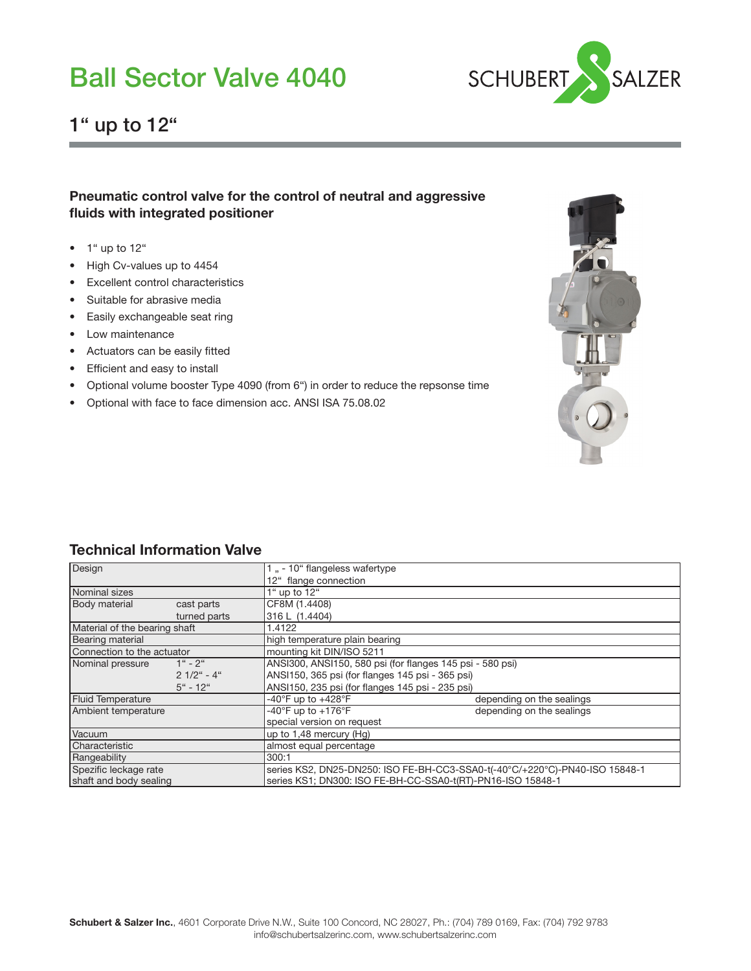

### 1" up to 12"

### Pneumatic control valve for the control of neutral and aggressive fluids with integrated positioner

- $\bullet$  1" up to 12"
- High Cv-values up to 4454
- Excellent control characteristics
- Suitable for abrasive media
- Easily exchangeable seat ring
- Low maintenance
- Actuators can be easily fitted
- Efficient and easy to install
- Optional volume booster Type 4090 (from 6") in order to reduce the repsonse time
- Optional with face to face dimension acc. ANSI ISA 75.08.02



### Technical Information Valve

| Design                        |               | 1, -10 flangeless wafertype                                                 |                           |  |  |  |  |
|-------------------------------|---------------|-----------------------------------------------------------------------------|---------------------------|--|--|--|--|
|                               |               | 12" flange connection                                                       |                           |  |  |  |  |
| Nominal sizes                 |               | 1" up to 12"                                                                |                           |  |  |  |  |
| <b>Body material</b>          | cast parts    | CF8M (1.4408)                                                               |                           |  |  |  |  |
|                               | turned parts  | 316 L (1.4404)                                                              |                           |  |  |  |  |
| Material of the bearing shaft |               | 1.4122                                                                      |                           |  |  |  |  |
| Bearing material              |               | high temperature plain bearing                                              |                           |  |  |  |  |
| Connection to the actuator    |               | mounting kit DIN/ISO 5211                                                   |                           |  |  |  |  |
| Nominal pressure              | $1" - 2"$     | ANSI300, ANSI150, 580 psi (for flanges 145 psi - 580 psi)                   |                           |  |  |  |  |
|                               | $21/2$ " - 4" | ANSI150, 365 psi (for flanges 145 psi - 365 psi)                            |                           |  |  |  |  |
|                               | $5$ " - 12"   | ANSI150, 235 psi (for flanges 145 psi - 235 psi)                            |                           |  |  |  |  |
| <b>Fluid Temperature</b>      |               | -40 $\degree$ F up to +428 $\degree$ F                                      | depending on the sealings |  |  |  |  |
| Ambient temperature           |               | -40°F up to $+176$ °F                                                       | depending on the sealings |  |  |  |  |
|                               |               | special version on request                                                  |                           |  |  |  |  |
| Vacuum                        |               | up to 1,48 mercury (Hg)                                                     |                           |  |  |  |  |
| Characteristic                |               | almost equal percentage                                                     |                           |  |  |  |  |
| Rangeability                  |               | 300:1                                                                       |                           |  |  |  |  |
| Spezific leckage rate         |               | series KS2, DN25-DN250: ISO FE-BH-CC3-SSA0-t(-40°C/+220°C)-PN40-ISO 15848-1 |                           |  |  |  |  |
| shaft and body sealing        |               | series KS1; DN300: ISO FE-BH-CC-SSA0-t(RT)-PN16-ISO 15848-1                 |                           |  |  |  |  |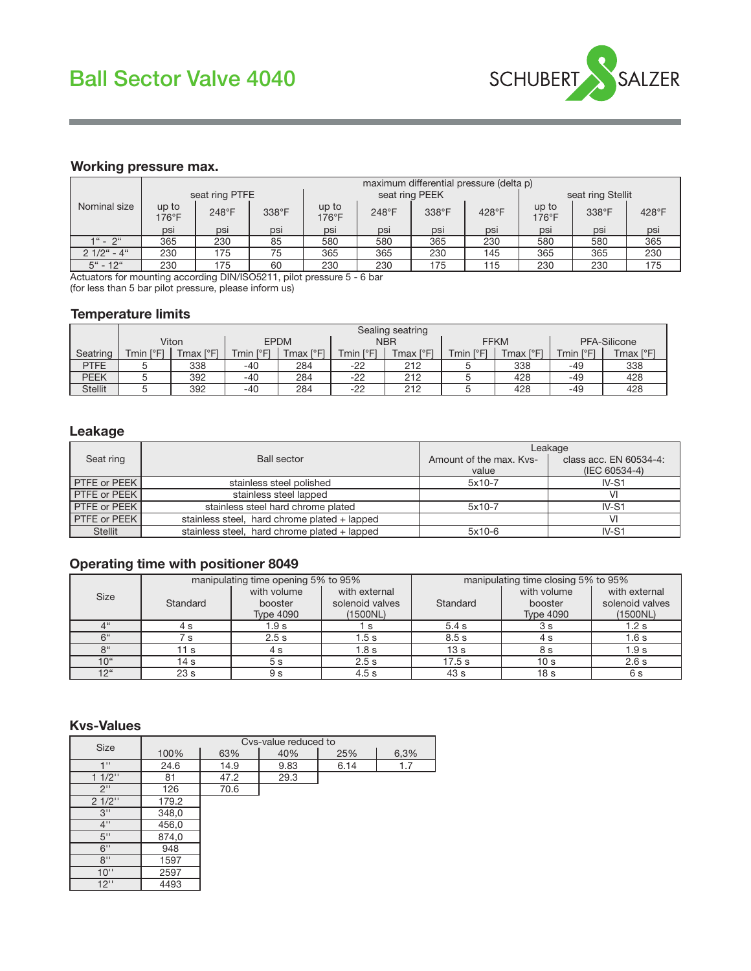

#### Working pressure max.

|               |                | maximum differential pressure (delta p) |       |                |       |                |                   |                |       |                |  |  |
|---------------|----------------|-----------------------------------------|-------|----------------|-------|----------------|-------------------|----------------|-------|----------------|--|--|
|               |                | seat ring PTFE                          |       |                |       | seat ring PEEK | seat ring Stellit |                |       |                |  |  |
| Nominal size  | up to<br>176°F | 248°F                                   | 338°F | up to<br>176°F | 248°F | 338°F          | 428°F             | up to<br>176°F | 338°F | $428^{\circ}F$ |  |  |
|               | psi            | psi                                     | psi   | psi            | psi   | psi            | psi               | psi            | psi   | psi            |  |  |
| $1" - 2"$     | 365            | 230                                     | 85    | 580            | 580   | 365            | 230               | 580            | 580   | 365            |  |  |
| $21/2$ " - 4" | 230            | 175                                     | 75    | 365            | 365   | 230            | 145               | 365            | 365   | 230            |  |  |
| $5$ " - 12"   | 230            | 175                                     | 60    | 230            | 230   | 175            | 115               | 230            | 230   | 175            |  |  |

Actuators for mounting according DIN/ISO5211, pilot pressure 5 - 6 bar (for less than 5 bar pilot pressure, please inform us)

#### Temperature limits

|                | Sealing seatring                    |           |               |             |                                       |                               |  |             |                |           |  |
|----------------|-------------------------------------|-----------|---------------|-------------|---------------------------------------|-------------------------------|--|-------------|----------------|-----------|--|
|                |                                     | Viton     |               | <b>EPDM</b> |                                       | <b>NBR</b>                    |  | <b>FFKM</b> | PFA-Silicone   |           |  |
| Seatring       | $\Gamma$ <sup>o</sup> $F$ ]<br>Tmin | Tmax [°F] | ſ°F<br>Tmin , | Tmax [°F]   | $\Gamma$ <sup>o</sup> $\Gamma$<br>min | $\Gamma$<br>Tmax <sub>1</sub> |  | 「max [°F]   | [°F]<br>Tmin l | Tmax [°F] |  |
| <b>PTFE</b>    |                                     | 338       | $-40$         | 284         | $-22$                                 | 212                           |  | 338         | -49            | 338       |  |
| PEEK           |                                     | 392       | $-40$         | 284         | $-22$                                 | 212                           |  | 428         | -49            | 428       |  |
| <b>Stellit</b> |                                     | 392       | $-40$         | 284         | $-22$                                 | 212                           |  | 428         | -49            | 428       |  |

#### Leakage

|                                 |                                              | Leakage                 |                        |  |  |
|---------------------------------|----------------------------------------------|-------------------------|------------------------|--|--|
| <b>Ball sector</b><br>Seat ring |                                              | Amount of the max. Kys- | class acc. EN 60534-4: |  |  |
|                                 |                                              | value                   | (IEC 60534-4)          |  |  |
| PTFE or PEEK                    | stainless steel polished                     | $5x10-7$                | $IV-S1$                |  |  |
| PTFE or PEEK                    | stainless steel lapped                       |                         | VI                     |  |  |
| PTFE or PEEK                    | stainless steel hard chrome plated           | $5x10-7$                | $IV-S1$                |  |  |
| PTFE or PEEK                    | stainless steel, hard chrome plated + lapped |                         | VI                     |  |  |
| <b>Stellit</b>                  | stainless steel, hard chrome plated + lapped | $5x10-6$                | $IV-S1$                |  |  |

### Operating time with positioner 8049

|                 |                 | manipulating time opening 5% to 95%        |                                              | manipulating time closing 5% to 95% |                                            |                                              |  |
|-----------------|-----------------|--------------------------------------------|----------------------------------------------|-------------------------------------|--------------------------------------------|----------------------------------------------|--|
| <b>Size</b>     | Standard        | with volume<br>booster<br><b>Type 4090</b> | with external<br>solenoid valves<br>(1500NL) | Standard                            | with volume<br>booster<br><b>Type 4090</b> | with external<br>solenoid valves<br>(1500NL) |  |
| $4$ "           | 4 s             | 1.9 s                                      | - S                                          | 5.4 s                               | 3 s                                        | 1.2 s                                        |  |
| 6"              | ່ S             | 2.5s                                       | 1.5s                                         | 8.5s                                | 4 s                                        | 1.6 s                                        |  |
| 8 <sup>"</sup>  | 1 s             | 4 s                                        | 1.8 s                                        | 13 <sub>s</sub>                     | 8 s                                        | 1.9 <sub>s</sub>                             |  |
| 10 <sup>"</sup> | 14 s            | 5 <sub>s</sub>                             | 2.5s                                         | 17.5 s                              | 10 <sub>s</sub>                            | 2.6 s                                        |  |
| 12 <sup>"</sup> | 23 <sub>s</sub> | 9 s                                        | 4.5s                                         | 43 s                                | 18 s                                       | 6 s                                          |  |

#### Kvs-Values

| Size                               | Cvs-value reduced to |      |      |      |      |  |  |  |  |  |
|------------------------------------|----------------------|------|------|------|------|--|--|--|--|--|
|                                    | 100%                 | 63%  | 40%  | 25%  | 6,3% |  |  |  |  |  |
| 111                                | 24.6                 | 14.9 | 9.83 | 6.14 | 1.7  |  |  |  |  |  |
| $11/2$ "                           | 81                   | 47.2 | 29.3 |      |      |  |  |  |  |  |
| $2^1$                              | 126                  | 70.6 |      |      |      |  |  |  |  |  |
| 21/2"                              | 179.2                |      |      |      |      |  |  |  |  |  |
| 3"                                 | 348,0                |      |      |      |      |  |  |  |  |  |
| $4$ <sup><math>\prime</math></sup> | 456,0                |      |      |      |      |  |  |  |  |  |
| $5$ "                              | 874,0                |      |      |      |      |  |  |  |  |  |
| $6$ "                              | 948                  |      |      |      |      |  |  |  |  |  |
| 8"                                 | 1597                 |      |      |      |      |  |  |  |  |  |
| 10"                                | 2597                 |      |      |      |      |  |  |  |  |  |
| 12"                                | 4493                 |      |      |      |      |  |  |  |  |  |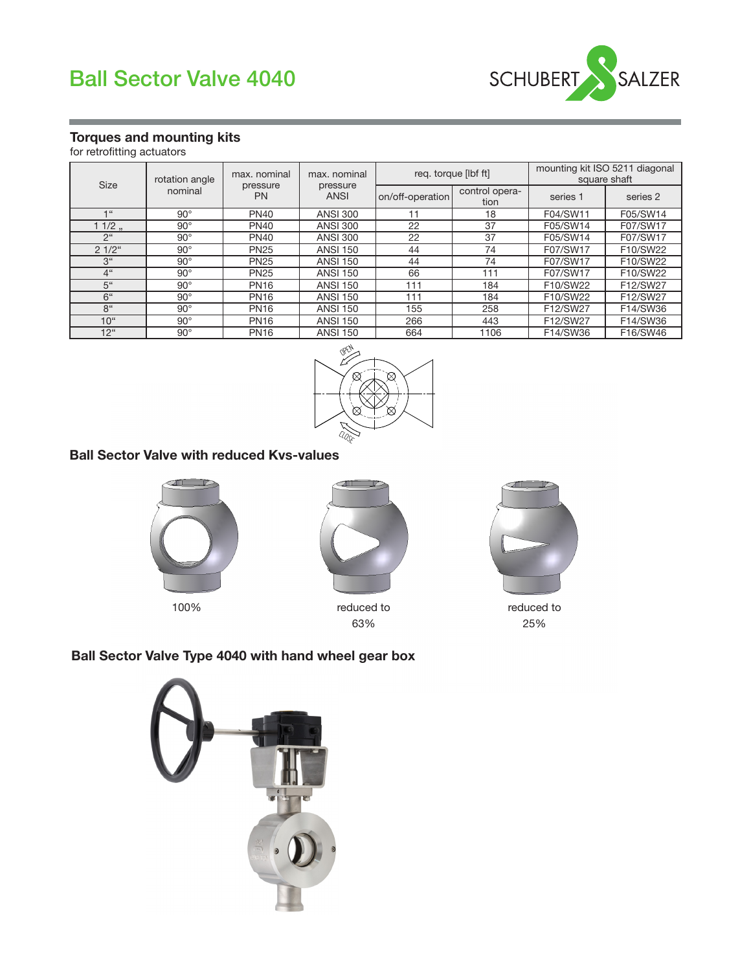



### Torques and mounting kits

for retrofitting actuators

| <b>Size</b>     | rotation angle                   | max. nominal | max, nominal            |                  | req. torque [lbf ft]   | mounting kit ISO 5211 diagonal<br>square shaft |          |  |
|-----------------|----------------------------------|--------------|-------------------------|------------------|------------------------|------------------------------------------------|----------|--|
|                 | pressure<br>nominal<br><b>PN</b> |              | pressure<br><b>ANSI</b> | on/off-operation | control opera-<br>tion | series 1                                       | series 2 |  |
| $-166$          | $90^\circ$                       | <b>PN40</b>  | <b>ANSI 300</b>         | 11               | 18                     | F04/SW11                                       | F05/SW14 |  |
| $11/2$ .        | $90^\circ$                       | <b>PN40</b>  | <b>ANSI 300</b>         | 22               | 37                     | F05/SW14                                       | F07/SW17 |  |
| 2 <sup>ii</sup> | $90^\circ$                       | <b>PN40</b>  | <b>ANSI 300</b>         | 22               | 37                     | F05/SW14                                       | F07/SW17 |  |
| $21/2$ "        | $90^\circ$                       | <b>PN25</b>  | <b>ANSI 150</b>         | 44               | 74                     | F07/SW17                                       | F10/SW22 |  |
| 3 <sup>u</sup>  | $90^\circ$                       | <b>PN25</b>  | <b>ANSI 150</b>         | 44               | 74                     | F07/SW17                                       | F10/SW22 |  |
| 4 <sup>ii</sup> | $90^\circ$                       | <b>PN25</b>  | <b>ANSI 150</b>         | 66               | 111                    | F07/SW17                                       | F10/SW22 |  |
| 5 <sup>4</sup>  | $90^\circ$                       | <b>PN16</b>  | <b>ANSI 150</b>         | 111              | 184                    | F10/SW22                                       | F12/SW27 |  |
| 6 <sup>ii</sup> | $90^\circ$                       | <b>PN16</b>  | <b>ANSI 150</b>         | 111              | 184                    | F10/SW22                                       | F12/SW27 |  |
| 8 <sup>th</sup> | $90^\circ$                       | <b>PN16</b>  | <b>ANSI 150</b>         | 155              | 258                    | F12/SW27                                       | F14/SW36 |  |
| $10^{4}$        | $90^\circ$                       | <b>PN16</b>  | <b>ANSI 150</b>         | 266              | 443                    | F12/SW27                                       | F14/SW36 |  |
| $12^{\circ}$    | $90^{\circ}$                     | <b>PN16</b>  | <b>ANSI 150</b>         | 664              | 1106                   | F14/SW36                                       | F16/SW46 |  |



### Ball Sector Valve with reduced Kvs-values





100% reduced to 63%



reduced to 25%

### Ball Sector Valve Type 4040 with hand wheel gear box

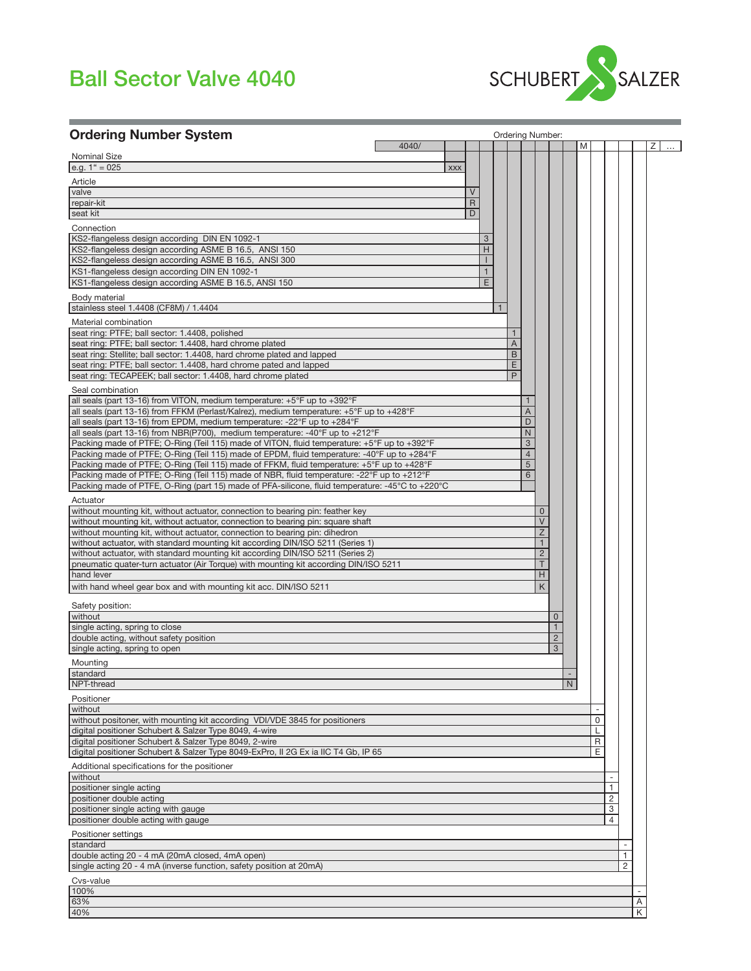

| <b>Ordering Number System</b>                                                                                                                                                             |                   | <b>Ordering Number:</b> |                     |                              |   |
|-------------------------------------------------------------------------------------------------------------------------------------------------------------------------------------------|-------------------|-------------------------|---------------------|------------------------------|---|
| <b>Nominal Size</b>                                                                                                                                                                       | 4040/             |                         |                     | M                            | Ζ |
| e.g. $1^{\circ}$ = 025                                                                                                                                                                    | <b>XXX</b>        |                         |                     |                              |   |
| Article                                                                                                                                                                                   |                   |                         |                     |                              |   |
| valve<br>repair-kit                                                                                                                                                                       | V<br>$\mathsf{R}$ |                         |                     |                              |   |
| seat kit                                                                                                                                                                                  | D                 |                         |                     |                              |   |
| Connection                                                                                                                                                                                |                   |                         |                     |                              |   |
| KS2-flangeless design according DIN EN 1092-1                                                                                                                                             |                   | 3                       |                     |                              |   |
| KS2-flangeless design according ASME B 16.5, ANSI 150                                                                                                                                     |                   | H                       |                     |                              |   |
| KS2-flangeless design according ASME B 16.5, ANSI 300                                                                                                                                     |                   |                         |                     |                              |   |
| KS1-flangeless design according DIN EN 1092-1<br>KS1-flangeless design according ASME B 16.5, ANSI 150                                                                                    |                   | 1<br>E                  |                     |                              |   |
| Body material                                                                                                                                                                             |                   |                         |                     |                              |   |
| stainless steel 1.4408 (CF8M) / 1.4404                                                                                                                                                    |                   |                         |                     |                              |   |
| Material combination                                                                                                                                                                      |                   |                         |                     |                              |   |
| seat ring: PTFE; ball sector: 1.4408, polished                                                                                                                                            |                   | $\mathbf{1}$            |                     |                              |   |
| seat ring: PTFE; ball sector: 1.4408, hard chrome plated                                                                                                                                  |                   | A                       |                     |                              |   |
| seat ring: Stellite; ball sector: 1.4408, hard chrome plated and lapped                                                                                                                   |                   | B                       |                     |                              |   |
| seat ring: PTFE; ball sector: 1.4408, hard chrome pated and lapped<br>seat ring: TECAPEEK; ball sector: 1.4408, hard chrome plated                                                        |                   | E<br>P                  |                     |                              |   |
|                                                                                                                                                                                           |                   |                         |                     |                              |   |
| Seal combination<br>all seals (part 13-16) from VITON, medium temperature: $+5^{\circ}$ F up to $+392^{\circ}$ F                                                                          |                   |                         |                     |                              |   |
| all seals (part 13-16) from FFKM (Perlast/Kalrez), medium temperature: +5°F up to +428°F                                                                                                  |                   | A                       |                     |                              |   |
| all seals (part 13-16) from EPDM, medium temperature: -22°F up to +284°F                                                                                                                  |                   | D                       |                     |                              |   |
| all seals (part 13-16) from NBR(P700), medium temperature: -40°F up to +212°F                                                                                                             |                   | $\mathsf{N}$            |                     |                              |   |
| Packing made of PTFE; O-Ring (Teil 115) made of VITON, fluid temperature: +5°F up to +392°F                                                                                               |                   | 3                       |                     |                              |   |
| Packing made of PTFE; O-Ring (Teil 115) made of EPDM, fluid temperature: -40°F up to +284°F<br>Packing made of PTFE; O-Ring (Teil 115) made of FFKM, fluid temperature: +5°F up to +428°F |                   | $\overline{4}$<br>5     |                     |                              |   |
| Packing made of PTFE; O-Ring (Teil 115) made of NBR, fluid temperature: -22°F up to +212°F                                                                                                |                   | 6                       |                     |                              |   |
| Packing made of PTFE, O-Ring (part 15) made of PFA-silicone, fluid temperature: -45°C to +220°C                                                                                           |                   |                         |                     |                              |   |
| Actuator                                                                                                                                                                                  |                   |                         |                     |                              |   |
| without mounting kit, without actuator, connection to bearing pin: feather key                                                                                                            |                   |                         | $\mathbf 0$         |                              |   |
| without mounting kit, without actuator, connection to bearing pin: square shaft                                                                                                           |                   |                         | $\vee$              |                              |   |
| without mounting kit, without actuator, connection to bearing pin: dihedron                                                                                                               |                   |                         | Z                   |                              |   |
| without actuator, with standard mounting kit according DIN/ISO 5211 (Series 1)<br>without actuator, with standard mounting kit according DIN/ISO 5211 (Series 2)                          |                   |                         | $\overline{2}$      |                              |   |
| pneumatic quater-turn actuator (Air Torque) with mounting kit according DIN/ISO 5211                                                                                                      |                   |                         | T                   |                              |   |
| hand lever                                                                                                                                                                                |                   |                         | H                   |                              |   |
| with hand wheel gear box and with mounting kit acc. DIN/ISO 5211                                                                                                                          |                   |                         | K                   |                              |   |
| Safety position:                                                                                                                                                                          |                   |                         |                     |                              |   |
| without                                                                                                                                                                                   |                   |                         | $\Omega$            |                              |   |
| single acting, spring to close                                                                                                                                                            |                   |                         | $\mathbf{1}$        |                              |   |
| double acting, without safety position<br>single acting, spring to open                                                                                                                   |                   |                         | $\overline{2}$<br>3 |                              |   |
|                                                                                                                                                                                           |                   |                         |                     |                              |   |
| Mounting<br>standard                                                                                                                                                                      |                   |                         |                     |                              |   |
| NPT-thread                                                                                                                                                                                |                   |                         | N                   |                              |   |
| Positioner                                                                                                                                                                                |                   |                         |                     |                              |   |
| without                                                                                                                                                                                   |                   |                         |                     |                              |   |
| without positoner, with mounting kit according VDI/VDE 3845 for positioners                                                                                                               |                   |                         |                     | $\mathbf 0$                  |   |
| digital positioner Schubert & Salzer Type 8049, 4-wire<br>digital positioner Schubert & Salzer Type 8049, 2-wire                                                                          |                   |                         |                     | L<br>R                       |   |
| digital positioner Schubert & Salzer Type 8049-ExPro, II 2G Ex ia IIC T4 Gb, IP 65                                                                                                        |                   |                         |                     | E                            |   |
| Additional specifications for the positioner                                                                                                                                              |                   |                         |                     |                              |   |
| without                                                                                                                                                                                   |                   |                         |                     |                              |   |
| positioner single acting                                                                                                                                                                  |                   |                         |                     | 1                            |   |
| positioner double acting                                                                                                                                                                  |                   |                         |                     | $\overline{c}$               |   |
| positioner single acting with gauge<br>positioner double acting with gauge                                                                                                                |                   |                         |                     | $\sqrt{3}$<br>$\overline{4}$ |   |
|                                                                                                                                                                                           |                   |                         |                     |                              |   |
| Positioner settings<br>standard                                                                                                                                                           |                   |                         |                     |                              |   |
| double acting 20 - 4 mA (20mA closed, 4mA open)                                                                                                                                           |                   |                         |                     |                              | 1 |
| single acting 20 - 4 mA (inverse function, safety position at 20mA)                                                                                                                       |                   |                         |                     |                              | 2 |
| Cvs-value                                                                                                                                                                                 |                   |                         |                     |                              |   |
| 100%                                                                                                                                                                                      |                   |                         |                     |                              |   |
| 63%                                                                                                                                                                                       |                   |                         |                     |                              | Α |
| 40%                                                                                                                                                                                       |                   |                         |                     |                              |   |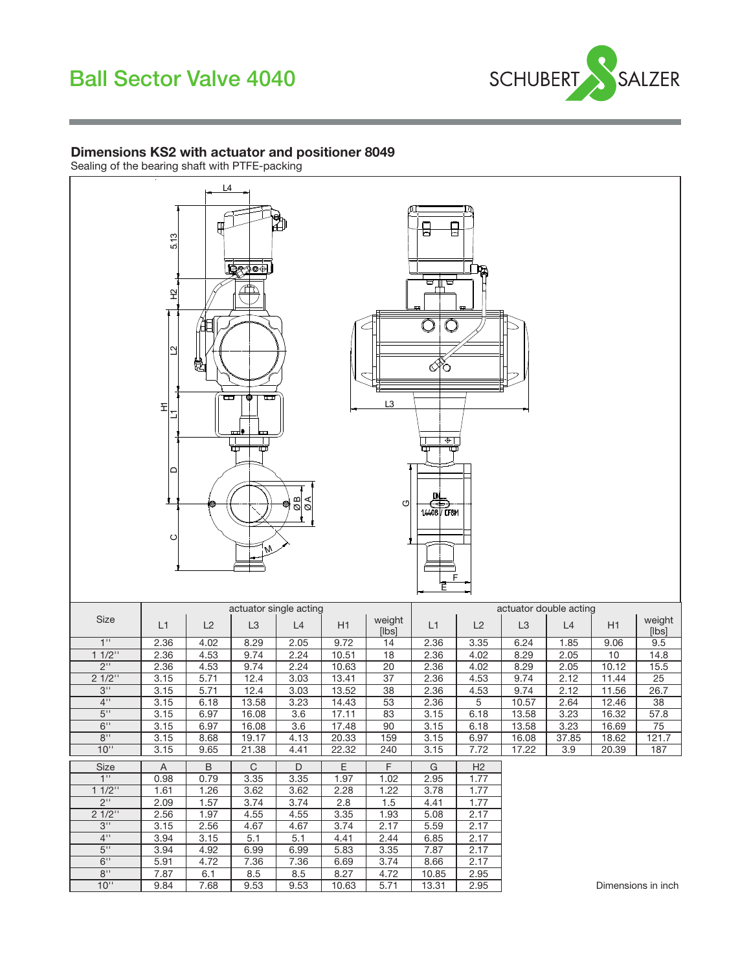

#### Dimensions KS2 with actuator and positioner 8049

Sealing of the bearing shaft with PTFE-packing

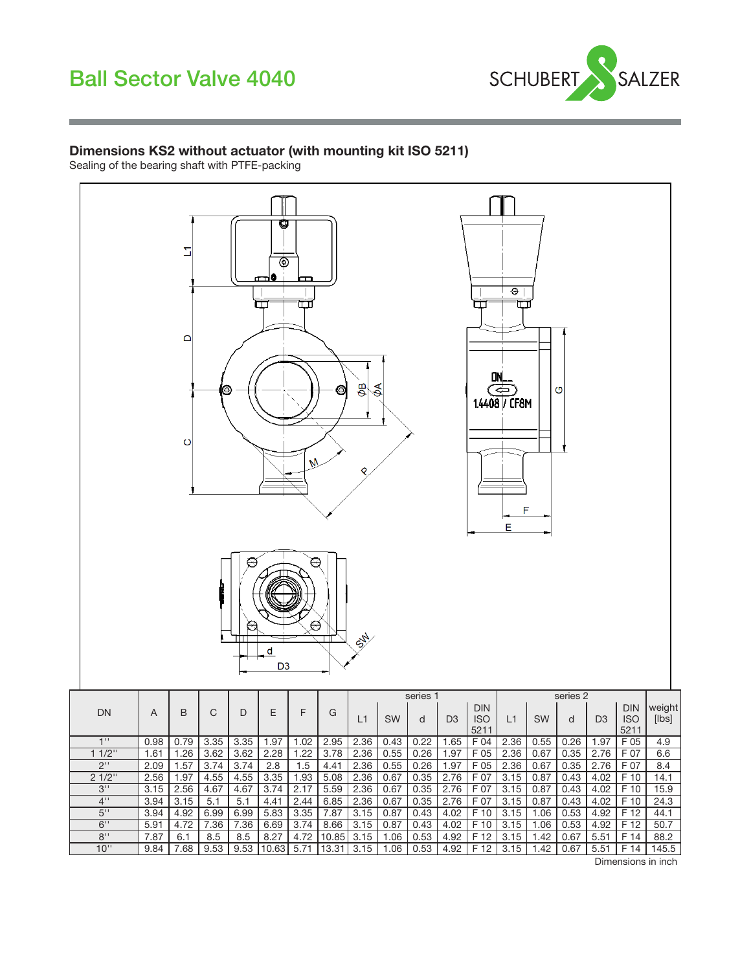

#### Dimensions KS2 without actuator (with mounting kit ISO 5211)

Sealing of the bearing shaft with PTFE-packing



Dimensions in inch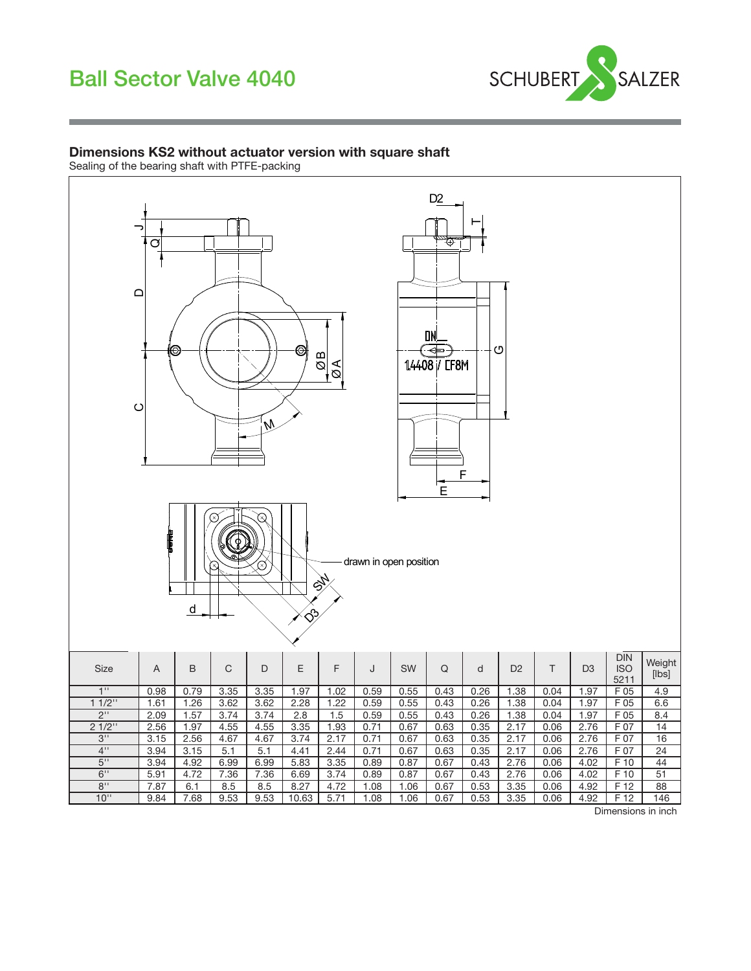

#### Dimensions KS2 without actuator version with square shaft

Sealing of the bearing shaft with PTFE-packing

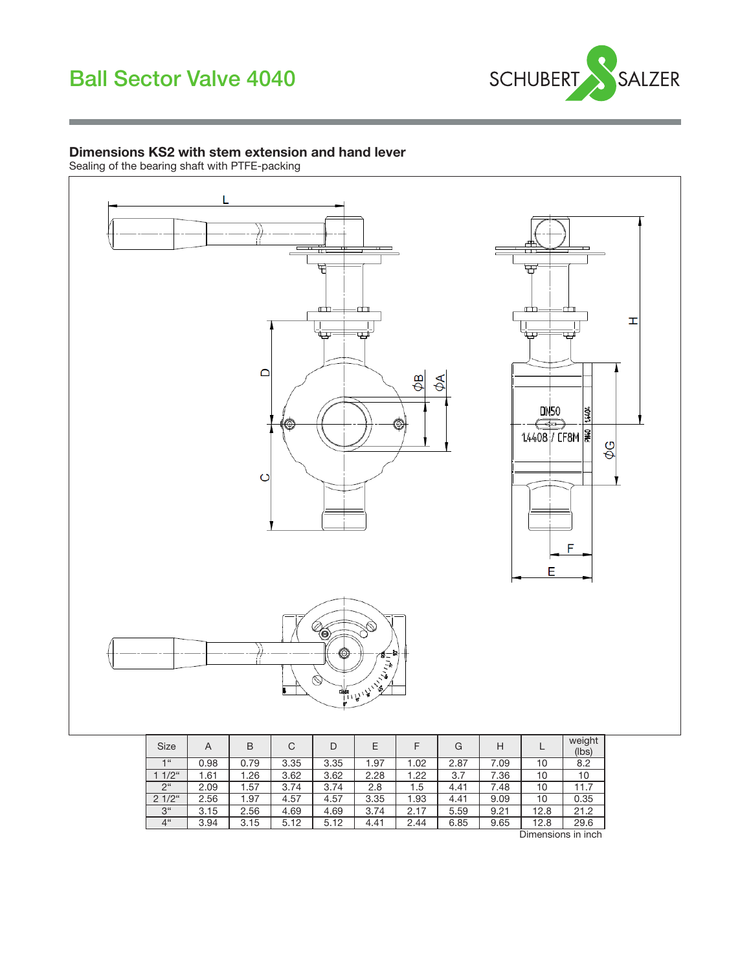

### Dimensions KS2 with stem extension and hand lever

Sealing of the bearing shaft with PTFE-packing



| Size           | A    | B    | C    | D    | E    |      | G    | H    |      | weight<br>(lbs) |
|----------------|------|------|------|------|------|------|------|------|------|-----------------|
| $-166$         | 0.98 | 0.79 | 3.35 | 3.35 | 1.97 | 1.02 | 2.87 | 7.09 | 10   | 8.2             |
| $1/2$ "        | 1.61 | .26  | 3.62 | 3.62 | 2.28 | 1.22 | 3.7  | 7.36 | 10   | 10              |
| $2^{\circ}$    | 2.09 | 1.57 | 3.74 | 3.74 | 2.8  | 1.5  | 4.41 | 7.48 | 10   | 11.7            |
| $21/2$ "       | 2.56 | 1.97 | 4.57 | 4.57 | 3.35 | 1.93 | 4.41 | 9.09 | 10   | 0.35            |
| 3 <sup>"</sup> | 3.15 | 2.56 | 4.69 | 4.69 | 3.74 | 2.17 | 5.59 | 9.21 | 12.8 | 21.2            |
| 4"             | 3.94 | 3.15 | 5.12 | 5.12 | 4.41 | 2.44 | 6.85 | 9.65 | 12.8 | 29.6            |

Dimensions in inch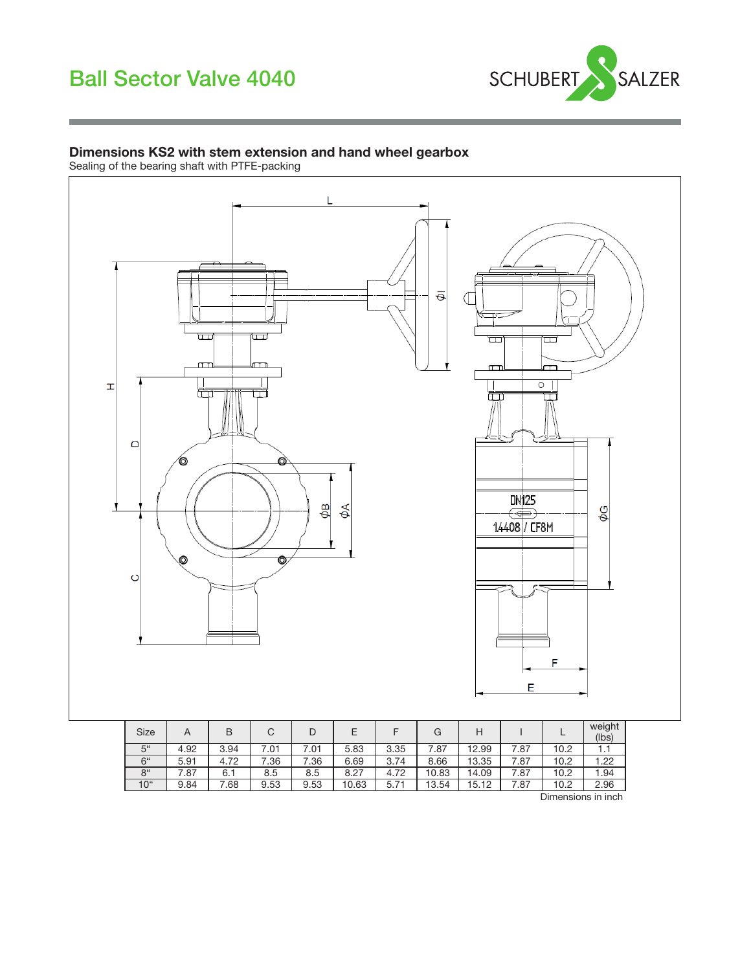

#### Dimensions KS2 with stem extension and hand wheel gearbox

Sealing of the bearing shaft with PTFE-packing



| <b>Size</b>     | A    | B    | C    | D    | E     |      | G     | н     |      |                    | weight<br>(lbs) |
|-----------------|------|------|------|------|-------|------|-------|-------|------|--------------------|-----------------|
| 5"              | 4.92 | 3.94 | 7.01 | 7.01 | 5.83  | 3.35 | .87   | 12.99 | 7.87 | 10.2               | 1.1             |
| 6"              | 5.91 | 4.72 | 7.36 | 7.36 | 6.69  | 3.74 | 8.66  | 13.35 | 7.87 | 10.2               | 1.22            |
| 8 <sup>th</sup> | .87  | 6.1  | 8.5  | 8.5  | 8.27  | 4.72 | 10.83 | 14.09 | 7.87 | 10.2               | 1.94            |
| 10 <sup>4</sup> | 9.84 | .68  | 9.53 | 9.53 | 10.63 | 5.71 | 13.54 | 15.12 | 7.87 | 10.2               | 2.96            |
|                 |      |      |      |      |       |      |       |       |      | Dimensions in inch |                 |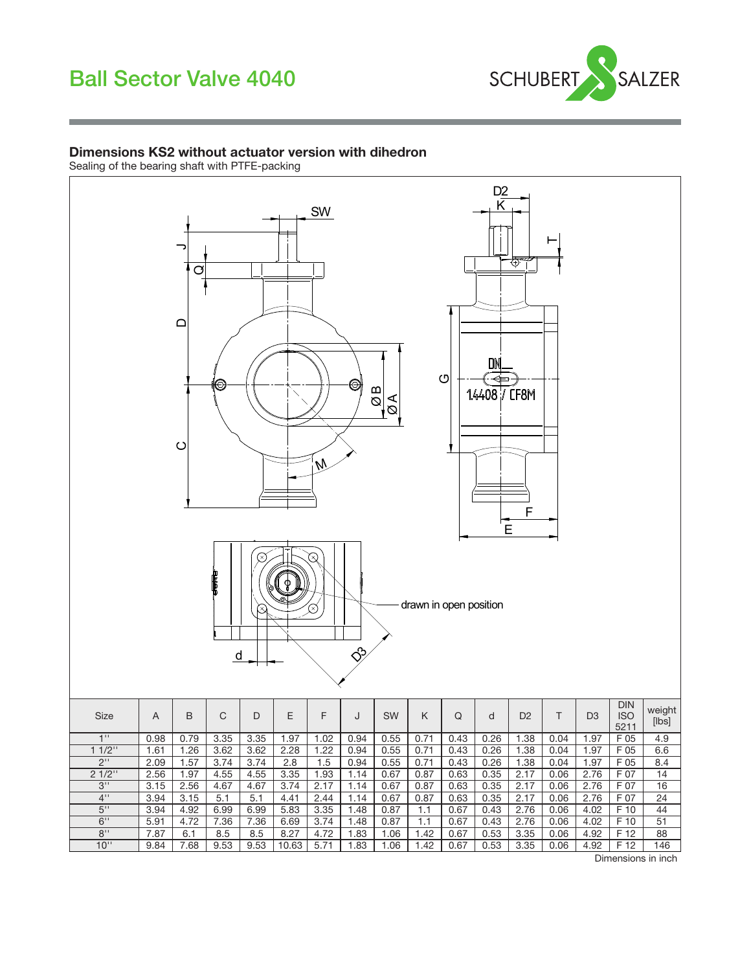

#### Dimensions KS2 without actuator version with dihedron

Sealing of the bearing shaft with PTFE-packing



Dimensions in inch